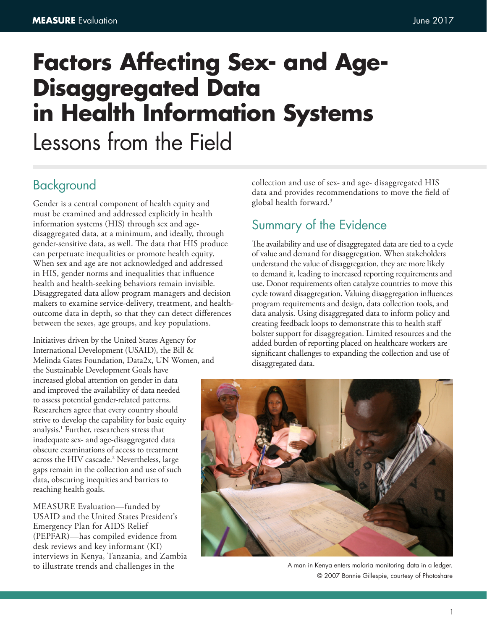# **Factors Affecting Sex- and Age-Disaggregated Data in Health Information Systems** Lessons from the Field

# Background

Gender is a central component of health equity and must be examined and addressed explicitly in health information systems (HIS) through sex and agedisaggregated data, at a minimum, and ideally, through gender-sensitive data, as well. The data that HIS produce can perpetuate inequalities or promote health equity. When sex and age are not acknowledged and addressed in HIS, gender norms and inequalities that influence health and health-seeking behaviors remain invisible. Disaggregated data allow program managers and decision makers to examine service-delivery, treatment, and healthoutcome data in depth, so that they can detect differences between the sexes, age groups, and key populations.

Initiatives driven by the United States Agency for International Development (USAID), the Bill & Melinda Gates Foundation, Data2x, UN Women, and the Sustainable Development Goals have increased global attention on gender in data and improved the availability of data needed to assess potential gender-related patterns. Researchers agree that every country should strive to develop the capability for basic equity analysis.1 Further, researchers stress that inadequate sex- and age-disaggregated data obscure examinations of access to treatment across the HIV cascade.<sup>2</sup> Nevertheless, large gaps remain in the collection and use of such data, obscuring inequities and barriers to reaching health goals.

MEASURE Evaluation—funded by USAID and the United States President's Emergency Plan for AIDS Relief (PEPFAR)—has compiled evidence from desk reviews and key informant (KI) interviews in Kenya, Tanzania, and Zambia to illustrate trends and challenges in the

collection and use of sex- and age- disaggregated HIS data and provides recommendations to move the field of global health forward.3

# Summary of the Evidence

The availability and use of disaggregated data are tied to a cycle of value and demand for disaggregation. When stakeholders understand the value of disaggregation, they are more likely to demand it, leading to increased reporting requirements and use. Donor requirements often catalyze countries to move this cycle toward disaggregation. Valuing disaggregation influences program requirements and design, data collection tools, and data analysis. Using disaggregated data to inform policy and creating feedback loops to demonstrate this to health staff bolster support for disaggregation. Limited resources and the added burden of reporting placed on healthcare workers are significant challenges to expanding the collection and use of disaggregated data.



A man in Kenya enters malaria monitoring data in a ledger. © 2007 Bonnie Gillespie, courtesy of Photoshare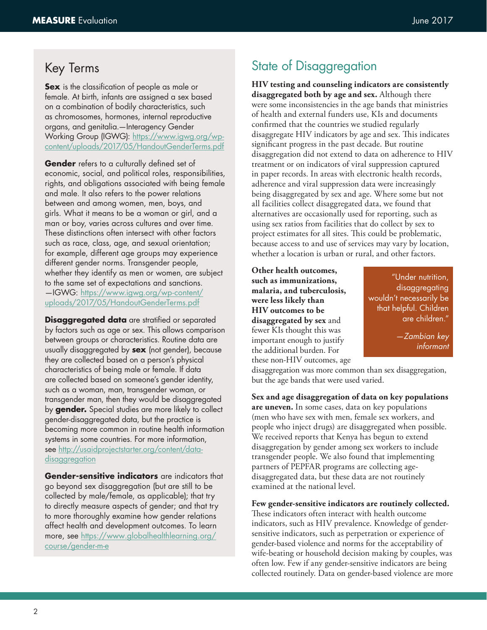# Key Terms

**Sex** is the classification of people as male or female. At birth, infants are assigned a sex based on a combination of bodily characteristics, such as chromosomes, hormones, internal reproductive organs, and genitalia.—Interagency Gender Working Group (IGWG): https://www.igwg.org/wpcontent/uploads/2017/05/HandoutGenderTerms.pdf

**Gender** refers to a culturally defined set of economic, social, and political roles, responsibilities, rights, and obligations associated with being female and male. It also refers to the power relations between and among women, men, boys, and girls. What it means to be a woman or girl, and a man or boy, varies across cultures and over time. These distinctions often intersect with other factors such as race, class, age, and sexual orientation; for example, different age groups may experience different gender norms. Transgender people, whether they identify as men or women, are subject to the same set of expectations and sanctions. —IGWG: https://www.igwg.org/wp-content/ uploads/2017/05/HandoutGenderTerms.pdf

**Disaggregated data** are stratified or separated by factors such as age or sex. This allows comparison between groups or characteristics. Routine data are usually disaggregated by **sex** (not gender), because they are collected based on a person's physical characteristics of being male or female. If data are collected based on someone's gender identity, such as a woman, man, transgender woman, or transgender man, then they would be disaggregated by **gender.** Special studies are more likely to collect gender-disaggregated data, but the practice is becoming more common in routine health information systems in some countries. For more information, see http://usaidprojectstarter.org/content/datadisaggregation

**Gender-sensitive indicators** are indicators that go beyond sex disaggregation (but are still to be collected by male/female, as applicable); that try to directly measure aspects of gender; and that try to more thoroughly examine how gender relations affect health and development outcomes. To learn more, see https://www.globalhealthlearning.org/ course/gender-m-e

# State of Disaggregation

**HIV testing and counseling indicators are consistently disaggregated both by age and sex.** Although there were some inconsistencies in the age bands that ministries of health and external funders use, KIs and documents confirmed that the countries we studied regularly disaggregate HIV indicators by age and sex. This indicates significant progress in the past decade. But routine disaggregation did not extend to data on adherence to HIV treatment or on indicators of viral suppression captured in paper records. In areas with electronic health records, adherence and viral suppression data were increasingly being disaggregated by sex and age. Where some but not all facilities collect disaggregated data, we found that alternatives are occasionally used for reporting, such as using sex ratios from facilities that do collect by sex to project estimates for all sites. This could be problematic, because access to and use of services may vary by location, whether a location is urban or rural, and other factors.

**Other health outcomes, such as immunizations, malaria, and tuberculosis, were less likely than HIV outcomes to be disaggregated by sex** and fewer KIs thought this was important enough to justify the additional burden. For these non-HIV outcomes, age

"Under nutrition, disaggregating wouldn't necessarily be that helpful. Children are children."

> *—Zambian key informant*

disaggregation was more common than sex disaggregation, but the age bands that were used varied.

**Sex and age disaggregation of data on key populations are uneven.** In some cases, data on key populations (men who have sex with men, female sex workers, and people who inject drugs) are disaggregated when possible. We received reports that Kenya has begun to extend disaggregation by gender among sex workers to include transgender people. We also found that implementing partners of PEPFAR programs are collecting agedisaggregated data, but these data are not routinely examined at the national level.

**Few gender-sensitive indicators are routinely collected.**  These indicators often interact with health outcome indicators, such as HIV prevalence. Knowledge of gendersensitive indicators, such as perpetration or experience of gender-based violence and norms for the acceptability of wife-beating or household decision making by couples, was often low. Few if any gender-sensitive indicators are being collected routinely. Data on gender-based violence are more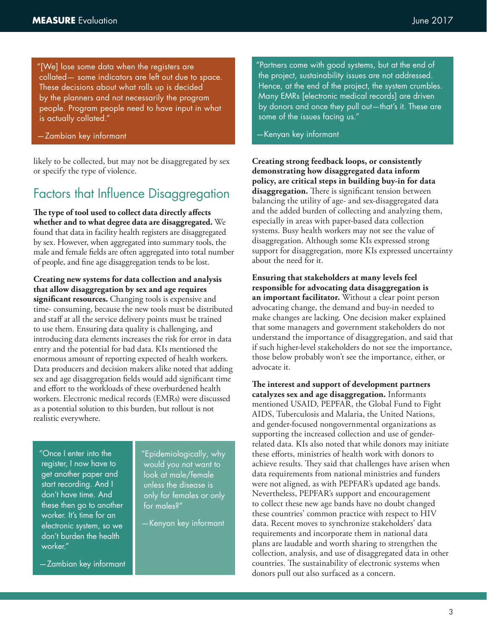"[We] lose some data when the registers are collated— some indicators are left out due to space. These decisions about what rolls up is decided by the planners and not necessarily the program people. Program people need to have input in what is actually collated."

—Zambian key informant

likely to be collected, but may not be disaggregated by sex or specify the type of violence.

#### Factors that Influence Disaggregation

**The type of tool used to collect data directly affects whether and to what degree data are disaggregated.** We found that data in facility health registers are disaggregated by sex. However, when aggregated into summary tools, the male and female fields are often aggregated into total number of people, and fine age disaggregation tends to be lost.

**Creating new systems for data collection and analysis that allow disaggregation by sex and age requires significant resources.** Changing tools is expensive and time- consuming, because the new tools must be distributed and staff at all the service delivery points must be trained to use them. Ensuring data quality is challenging, and introducing data elements increases the risk for error in data entry and the potential for bad data. KIs mentioned the enormous amount of reporting expected of health workers. Data producers and decision makers alike noted that adding sex and age disaggregation fields would add significant time and effort to the workloads of these overburdened health workers. Electronic medical records (EMRs) were discussed as a potential solution to this burden, but rollout is not realistic everywhere.

"Once I enter into the register, I now have to get another paper and start recording. And I don't have time. And these then go to another worker. It's time for an electronic system, so we don't burden the health worker."

—Zambian key informant

"Epidemiologically, why would you not want to look at male/female unless the disease is only for females or only for males?"

—Kenyan key informant

"Partners come with good systems, but at the end of the project, sustainability issues are not addressed. Hence, at the end of the project, the system crumbles. Many EMRs [electronic medical records] are driven by donors and once they pull out—that's it. These are some of the issues facing us."

#### —Kenyan key informant

**Creating strong feedback loops, or consistently demonstrating how disaggregated data inform policy, are critical steps in building buy-in for data disaggregation.** There is significant tension between balancing the utility of age- and sex-disaggregated data and the added burden of collecting and analyzing them, especially in areas with paper-based data collection systems. Busy health workers may not see the value of disaggregation. Although some KIs expressed strong support for disaggregation, more KIs expressed uncertainty about the need for it.

**Ensuring that stakeholders at many levels feel responsible for advocating data disaggregation is an important facilitator.** Without a clear point person advocating change, the demand and buy-in needed to make changes are lacking. One decision maker explained that some managers and government stakeholders do not understand the importance of disaggregation, and said that if such higher-level stakeholders do not see the importance, those below probably won't see the importance, either, or advocate it.

**The interest and support of development partners catalyzes sex and age disaggregation.** Informants mentioned USAID, PEPFAR, the Global Fund to Fight AIDS, Tuberculosis and Malaria, the United Nations, and gender-focused nongovernmental organizations as supporting the increased collection and use of genderrelated data. KIs also noted that while donors may initiate these efforts, ministries of health work with donors to achieve results. They said that challenges have arisen when data requirements from national ministries and funders were not aligned, as with PEPFAR's updated age bands. Nevertheless, PEPFAR's support and encouragement to collect these new age bands have no doubt changed these countries' common practice with respect to HIV data. Recent moves to synchronize stakeholders' data requirements and incorporate them in national data plans are laudable and worth sharing to strengthen the collection, analysis, and use of disaggregated data in other countries. The sustainability of electronic systems when donors pull out also surfaced as a concern.